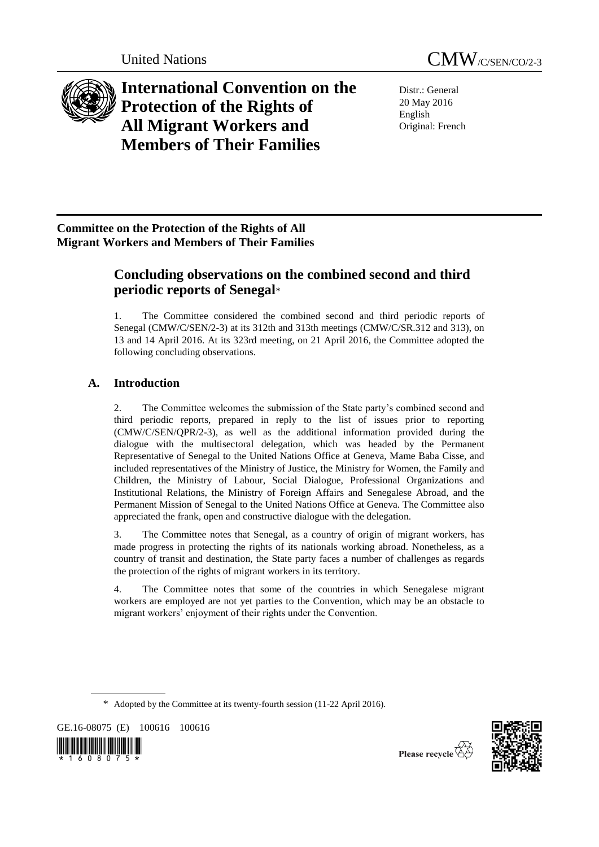



**International Convention on the Protection of the Rights of All Migrant Workers and Members of Their Families**

Distr.: General 20 May 2016 English Original: French

## **Committee on the Protection of the Rights of All Migrant Workers and Members of Their Families**

# **Concluding observations on the combined second and third periodic reports of Senegal**\*

1. The Committee considered the combined second and third periodic reports of Senegal (CMW/C/SEN/2-3) at its 312th and 313th meetings (CMW/C/SR.312 and 313), on 13 and 14 April 2016. At its 323rd meeting, on 21 April 2016, the Committee adopted the following concluding observations.

# **A. Introduction**

2. The Committee welcomes the submission of the State party's combined second and third periodic reports, prepared in reply to the list of issues prior to reporting (CMW/C/SEN/QPR/2-3), as well as the additional information provided during the dialogue with the multisectoral delegation, which was headed by the Permanent Representative of Senegal to the United Nations Office at Geneva, Mame Baba Cisse, and included representatives of the Ministry of Justice, the Ministry for Women, the Family and Children, the Ministry of Labour, Social Dialogue, Professional Organizations and Institutional Relations, the Ministry of Foreign Affairs and Senegalese Abroad, and the Permanent Mission of Senegal to the United Nations Office at Geneva. The Committee also appreciated the frank, open and constructive dialogue with the delegation.

3. The Committee notes that Senegal, as a country of origin of migrant workers, has made progress in protecting the rights of its nationals working abroad. Nonetheless, as a country of transit and destination, the State party faces a number of challenges as regards the protection of the rights of migrant workers in its territory.

4. The Committee notes that some of the countries in which Senegalese migrant workers are employed are not yet parties to the Convention, which may be an obstacle to migrant workers' enjoyment of their rights under the Convention.

\* Adopted by the Committee at its twenty-fourth session (11-22 April 2016).

GE.16-08075 (E) 100616 100616





Please recycle  $\overline{\mathbb{Q}}$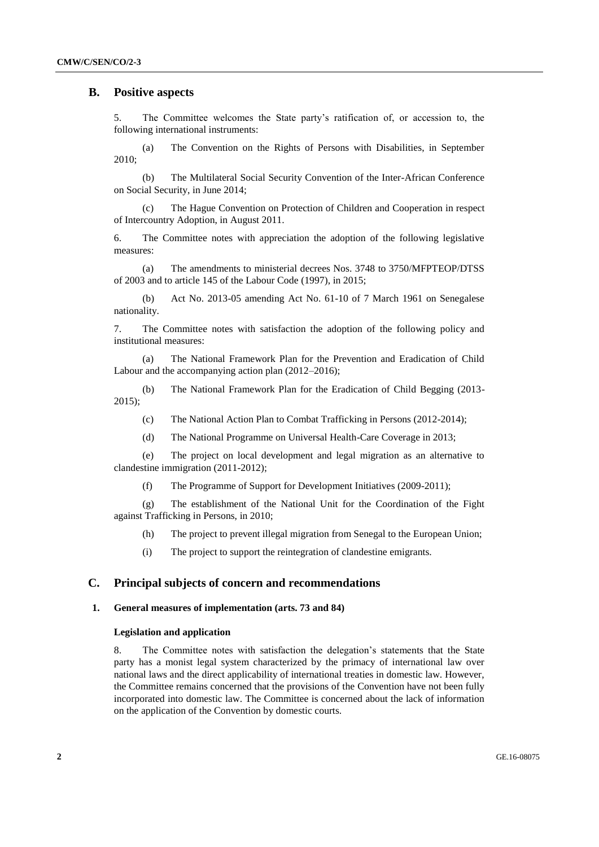## **B. Positive aspects**

5. The Committee welcomes the State party's ratification of, or accession to, the following international instruments:

(a) The Convention on the Rights of Persons with Disabilities, in September 2010;

(b) The Multilateral Social Security Convention of the Inter-African Conference on Social Security, in June 2014;

(c) The Hague Convention on Protection of Children and Cooperation in respect of Intercountry Adoption, in August 2011.

6. The Committee notes with appreciation the adoption of the following legislative measures:

(a) The amendments to ministerial decrees Nos. 3748 to 3750/MFPTEOP/DTSS of 2003 and to article 145 of the Labour Code (1997), in 2015;

(b) Act No. 2013-05 amending Act No. 61-10 of 7 March 1961 on Senegalese nationality.

7. The Committee notes with satisfaction the adoption of the following policy and institutional measures:

(a) The National Framework Plan for the Prevention and Eradication of Child Labour and the accompanying action plan (2012–2016);

(b) The National Framework Plan for the Eradication of Child Begging (2013- 2015);

(c) The National Action Plan to Combat Trafficking in Persons (2012-2014);

(d) The National Programme on Universal Health-Care Coverage in 2013;

(e) The project on local development and legal migration as an alternative to clandestine immigration (2011-2012);

(f) The Programme of Support for Development Initiatives (2009-2011);

(g) The establishment of the National Unit for the Coordination of the Fight against Trafficking in Persons, in 2010;

(h) The project to prevent illegal migration from Senegal to the European Union;

(i) The project to support the reintegration of clandestine emigrants.

## **C. Principal subjects of concern and recommendations**

## **1. General measures of implementation (arts. 73 and 84)**

## **Legislation and application**

8. The Committee notes with satisfaction the delegation's statements that the State party has a monist legal system characterized by the primacy of international law over national laws and the direct applicability of international treaties in domestic law. However, the Committee remains concerned that the provisions of the Convention have not been fully incorporated into domestic law. The Committee is concerned about the lack of information on the application of the Convention by domestic courts.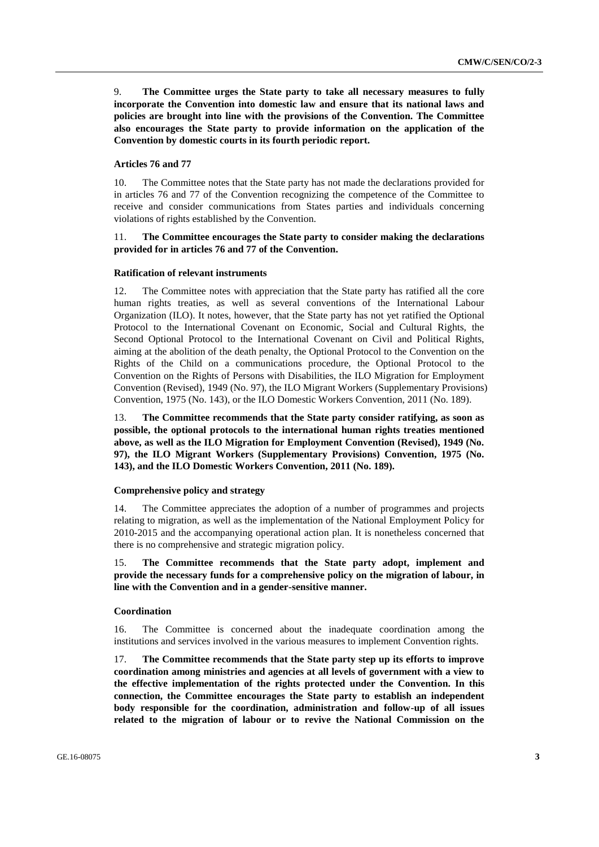9. **The Committee urges the State party to take all necessary measures to fully incorporate the Convention into domestic law and ensure that its national laws and policies are brought into line with the provisions of the Convention. The Committee also encourages the State party to provide information on the application of the Convention by domestic courts in its fourth periodic report.**

## **Articles 76 and 77**

10. The Committee notes that the State party has not made the declarations provided for in articles 76 and 77 of the Convention recognizing the competence of the Committee to receive and consider communications from States parties and individuals concerning violations of rights established by the Convention.

## 11. **The Committee encourages the State party to consider making the declarations provided for in articles 76 and 77 of the Convention.**

#### **Ratification of relevant instruments**

12. The Committee notes with appreciation that the State party has ratified all the core human rights treaties, as well as several conventions of the International Labour Organization (ILO). It notes, however, that the State party has not yet ratified the Optional Protocol to the International Covenant on Economic, Social and Cultural Rights, the Second Optional Protocol to the International Covenant on Civil and Political Rights, aiming at the abolition of the death penalty, the Optional Protocol to the Convention on the Rights of the Child on a communications procedure, the Optional Protocol to the Convention on the Rights of Persons with Disabilities, the ILO Migration for Employment Convention (Revised), 1949 (No. 97), the ILO Migrant Workers (Supplementary Provisions) Convention, 1975 (No. 143), or the ILO Domestic Workers Convention, 2011 (No. 189).

13. **The Committee recommends that the State party consider ratifying, as soon as possible, the optional protocols to the international human rights treaties mentioned above, as well as the ILO Migration for Employment Convention (Revised), 1949 (No. 97), the ILO Migrant Workers (Supplementary Provisions) Convention, 1975 (No. 143), and the ILO Domestic Workers Convention, 2011 (No. 189).** 

### **Comprehensive policy and strategy**

14. The Committee appreciates the adoption of a number of programmes and projects relating to migration, as well as the implementation of the National Employment Policy for 2010-2015 and the accompanying operational action plan. It is nonetheless concerned that there is no comprehensive and strategic migration policy.

15. **The Committee recommends that the State party adopt, implement and provide the necessary funds for a comprehensive policy on the migration of labour, in line with the Convention and in a gender-sensitive manner.** 

#### **Coordination**

16. The Committee is concerned about the inadequate coordination among the institutions and services involved in the various measures to implement Convention rights.

17. **The Committee recommends that the State party step up its efforts to improve coordination among ministries and agencies at all levels of government with a view to the effective implementation of the rights protected under the Convention. In this connection, the Committee encourages the State party to establish an independent body responsible for the coordination, administration and follow-up of all issues related to the migration of labour or to revive the National Commission on the**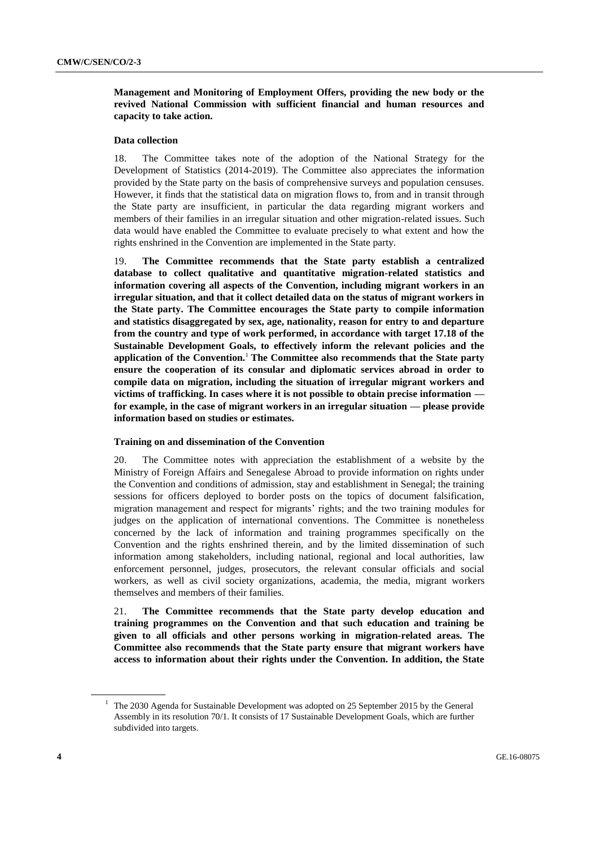**Management and Monitoring of Employment Offers, providing the new body or the revived National Commission with sufficient financial and human resources and capacity to take action.**

## **Data collection**

18. The Committee takes note of the adoption of the National Strategy for the Development of Statistics (2014-2019). The Committee also appreciates the information provided by the State party on the basis of comprehensive surveys and population censuses. However, it finds that the statistical data on migration flows to, from and in transit through the State party are insufficient, in particular the data regarding migrant workers and members of their families in an irregular situation and other migration-related issues. Such data would have enabled the Committee to evaluate precisely to what extent and how the rights enshrined in the Convention are implemented in the State party.

19. **The Committee recommends that the State party establish a centralized database to collect qualitative and quantitative migration-related statistics and information covering all aspects of the Convention, including migrant workers in an irregular situation, and that it collect detailed data on the status of migrant workers in the State party. The Committee encourages the State party to compile information and statistics disaggregated by sex, age, nationality, reason for entry to and departure from the country and type of work performed, in accordance with target 17.18 of the Sustainable Development Goals, to effectively inform the relevant policies and the application of the Convention.**<sup>1</sup> **The Committee also recommends that the State party ensure the cooperation of its consular and diplomatic services abroad in order to compile data on migration, including the situation of irregular migrant workers and victims of trafficking. In cases where it is not possible to obtain precise information for example, in the case of migrant workers in an irregular situation — please provide information based on studies or estimates.**

## **Training on and dissemination of the Convention**

20. The Committee notes with appreciation the establishment of a website by the Ministry of Foreign Affairs and Senegalese Abroad to provide information on rights under the Convention and conditions of admission, stay and establishment in Senegal; the training sessions for officers deployed to border posts on the topics of document falsification, migration management and respect for migrants' rights; and the two training modules for judges on the application of international conventions. The Committee is nonetheless concerned by the lack of information and training programmes specifically on the Convention and the rights enshrined therein, and by the limited dissemination of such information among stakeholders, including national, regional and local authorities, law enforcement personnel, judges, prosecutors, the relevant consular officials and social workers, as well as civil society organizations, academia, the media, migrant workers themselves and members of their families.

21. **The Committee recommends that the State party develop education and training programmes on the Convention and that such education and training be given to all officials and other persons working in migration-related areas. The Committee also recommends that the State party ensure that migrant workers have access to information about their rights under the Convention. In addition, the State** 

<sup>&</sup>lt;sup>1</sup> The 2030 Agenda for Sustainable Development was adopted on 25 September 2015 by the General Assembly in its resolution 70/1. It consists of 17 Sustainable Development Goals, which are further subdivided into targets.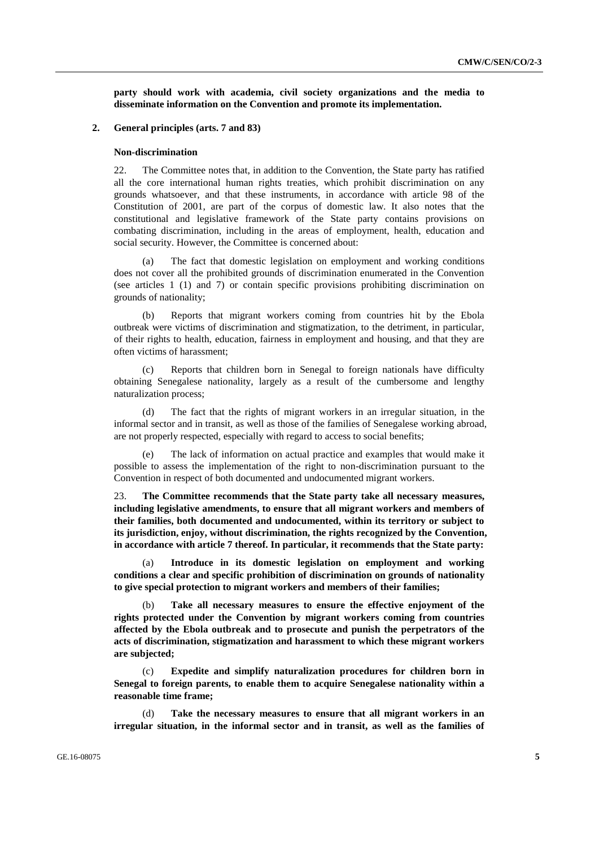**party should work with academia, civil society organizations and the media to disseminate information on the Convention and promote its implementation.** 

## **2. General principles (arts. 7 and 83)**

#### **Non-discrimination**

22. The Committee notes that, in addition to the Convention, the State party has ratified all the core international human rights treaties, which prohibit discrimination on any grounds whatsoever, and that these instruments, in accordance with article 98 of the Constitution of 2001, are part of the corpus of domestic law. It also notes that the constitutional and legislative framework of the State party contains provisions on combating discrimination, including in the areas of employment, health, education and social security. However, the Committee is concerned about:

(a) The fact that domestic legislation on employment and working conditions does not cover all the prohibited grounds of discrimination enumerated in the Convention (see articles 1 (1) and 7) or contain specific provisions prohibiting discrimination on grounds of nationality;

(b) Reports that migrant workers coming from countries hit by the Ebola outbreak were victims of discrimination and stigmatization, to the detriment, in particular, of their rights to health, education, fairness in employment and housing, and that they are often victims of harassment;

(c) Reports that children born in Senegal to foreign nationals have difficulty obtaining Senegalese nationality, largely as a result of the cumbersome and lengthy naturalization process;

(d) The fact that the rights of migrant workers in an irregular situation, in the informal sector and in transit, as well as those of the families of Senegalese working abroad, are not properly respected, especially with regard to access to social benefits;

(e) The lack of information on actual practice and examples that would make it possible to assess the implementation of the right to non-discrimination pursuant to the Convention in respect of both documented and undocumented migrant workers.

23. **The Committee recommends that the State party take all necessary measures, including legislative amendments, to ensure that all migrant workers and members of their families, both documented and undocumented, within its territory or subject to its jurisdiction, enjoy, without discrimination, the rights recognized by the Convention, in accordance with article 7 thereof. In particular, it recommends that the State party:**

(a) **Introduce in its domestic legislation on employment and working conditions a clear and specific prohibition of discrimination on grounds of nationality to give special protection to migrant workers and members of their families;**

Take all necessary measures to ensure the effective enjoyment of the **rights protected under the Convention by migrant workers coming from countries affected by the Ebola outbreak and to prosecute and punish the perpetrators of the acts of discrimination, stigmatization and harassment to which these migrant workers are subjected;**

(c) **Expedite and simplify naturalization procedures for children born in Senegal to foreign parents, to enable them to acquire Senegalese nationality within a reasonable time frame;**

(d) **Take the necessary measures to ensure that all migrant workers in an irregular situation, in the informal sector and in transit, as well as the families of**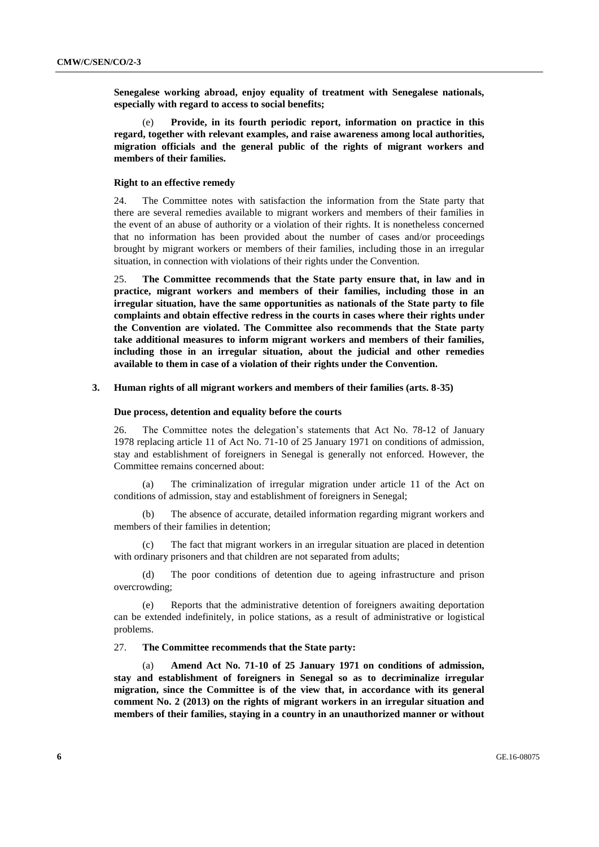**Senegalese working abroad, enjoy equality of treatment with Senegalese nationals, especially with regard to access to social benefits;**

(e) **Provide, in its fourth periodic report, information on practice in this regard, together with relevant examples, and raise awareness among local authorities, migration officials and the general public of the rights of migrant workers and members of their families.** 

## **Right to an effective remedy**

24. The Committee notes with satisfaction the information from the State party that there are several remedies available to migrant workers and members of their families in the event of an abuse of authority or a violation of their rights. It is nonetheless concerned that no information has been provided about the number of cases and/or proceedings brought by migrant workers or members of their families, including those in an irregular situation, in connection with violations of their rights under the Convention.

25. **The Committee recommends that the State party ensure that, in law and in practice, migrant workers and members of their families, including those in an irregular situation, have the same opportunities as nationals of the State party to file complaints and obtain effective redress in the courts in cases where their rights under the Convention are violated. The Committee also recommends that the State party take additional measures to inform migrant workers and members of their families, including those in an irregular situation, about the judicial and other remedies available to them in case of a violation of their rights under the Convention.**

## **3. Human rights of all migrant workers and members of their families (arts. 8-35)**

#### **Due process, detention and equality before the courts**

26. The Committee notes the delegation's statements that Act No. 78-12 of January 1978 replacing article 11 of Act No. 71-10 of 25 January 1971 on conditions of admission, stay and establishment of foreigners in Senegal is generally not enforced. However, the Committee remains concerned about:

(a) The criminalization of irregular migration under article 11 of the Act on conditions of admission, stay and establishment of foreigners in Senegal;

(b) The absence of accurate, detailed information regarding migrant workers and members of their families in detention;

(c) The fact that migrant workers in an irregular situation are placed in detention with ordinary prisoners and that children are not separated from adults;

(d) The poor conditions of detention due to ageing infrastructure and prison overcrowding;

(e) Reports that the administrative detention of foreigners awaiting deportation can be extended indefinitely, in police stations, as a result of administrative or logistical problems.

## 27. **The Committee recommends that the State party:**

Amend Act No. 71-10 of 25 January 1971 on conditions of admission, **stay and establishment of foreigners in Senegal so as to decriminalize irregular migration, since the Committee is of the view that, in accordance with its general comment No. 2 (2013) on the rights of migrant workers in an irregular situation and members of their families, staying in a country in an unauthorized manner or without**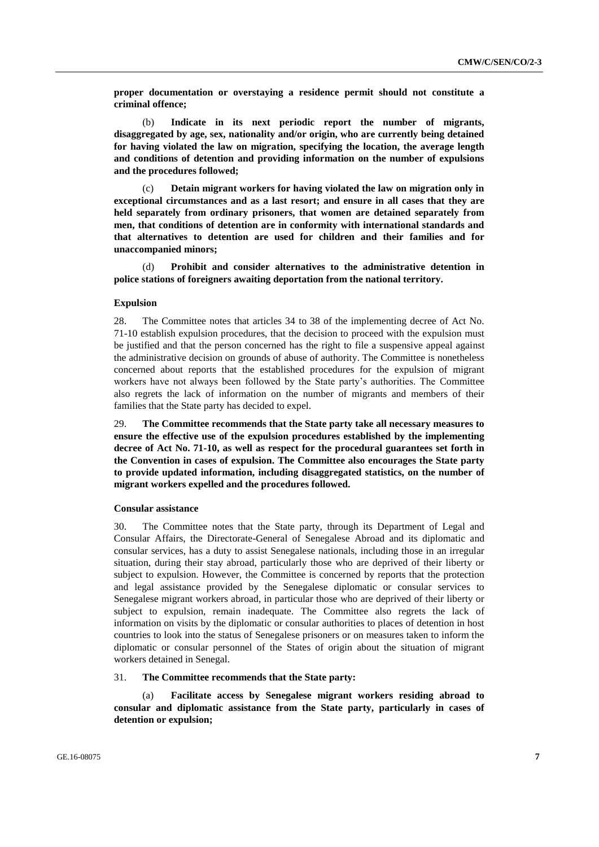**proper documentation or overstaying a residence permit should not constitute a criminal offence;**

(b) **Indicate in its next periodic report the number of migrants, disaggregated by age, sex, nationality and/or origin, who are currently being detained for having violated the law on migration, specifying the location, the average length and conditions of detention and providing information on the number of expulsions and the procedures followed;**

(c) **Detain migrant workers for having violated the law on migration only in exceptional circumstances and as a last resort; and ensure in all cases that they are held separately from ordinary prisoners, that women are detained separately from men, that conditions of detention are in conformity with international standards and that alternatives to detention are used for children and their families and for unaccompanied minors;**

(d) **Prohibit and consider alternatives to the administrative detention in police stations of foreigners awaiting deportation from the national territory.**

## **Expulsion**

28. The Committee notes that articles 34 to 38 of the implementing decree of Act No. 71-10 establish expulsion procedures, that the decision to proceed with the expulsion must be justified and that the person concerned has the right to file a suspensive appeal against the administrative decision on grounds of abuse of authority. The Committee is nonetheless concerned about reports that the established procedures for the expulsion of migrant workers have not always been followed by the State party's authorities. The Committee also regrets the lack of information on the number of migrants and members of their families that the State party has decided to expel.

29. **The Committee recommends that the State party take all necessary measures to ensure the effective use of the expulsion procedures established by the implementing decree of Act No. 71-10, as well as respect for the procedural guarantees set forth in the Convention in cases of expulsion. The Committee also encourages the State party to provide updated information, including disaggregated statistics, on the number of migrant workers expelled and the procedures followed.** 

## **Consular assistance**

30. The Committee notes that the State party, through its Department of Legal and Consular Affairs, the Directorate-General of Senegalese Abroad and its diplomatic and consular services, has a duty to assist Senegalese nationals, including those in an irregular situation, during their stay abroad, particularly those who are deprived of their liberty or subject to expulsion. However, the Committee is concerned by reports that the protection and legal assistance provided by the Senegalese diplomatic or consular services to Senegalese migrant workers abroad, in particular those who are deprived of their liberty or subject to expulsion, remain inadequate. The Committee also regrets the lack of information on visits by the diplomatic or consular authorities to places of detention in host countries to look into the status of Senegalese prisoners or on measures taken to inform the diplomatic or consular personnel of the States of origin about the situation of migrant workers detained in Senegal.

## 31. **The Committee recommends that the State party:**

(a) **Facilitate access by Senegalese migrant workers residing abroad to consular and diplomatic assistance from the State party, particularly in cases of detention or expulsion;**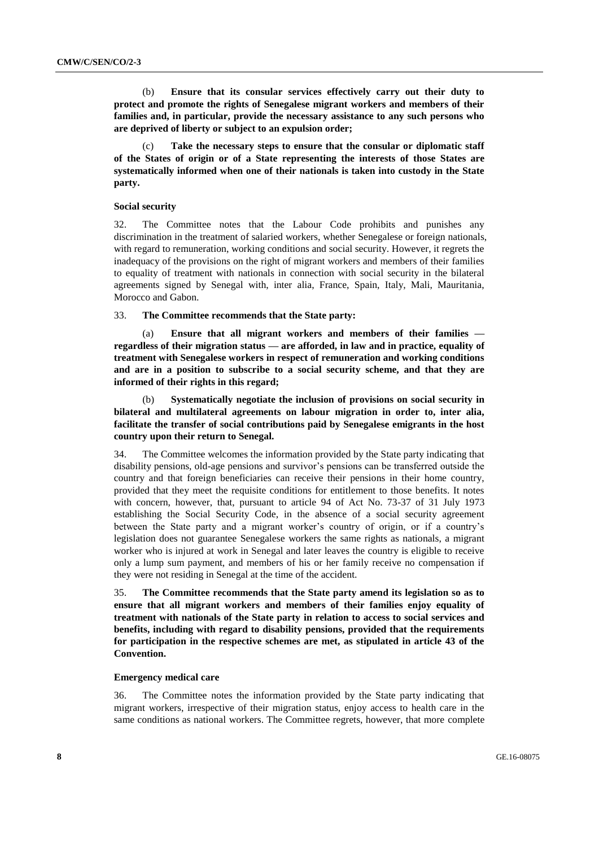(b) **Ensure that its consular services effectively carry out their duty to protect and promote the rights of Senegalese migrant workers and members of their families and, in particular, provide the necessary assistance to any such persons who are deprived of liberty or subject to an expulsion order;** 

Take the necessary steps to ensure that the consular or diplomatic staff **of the States of origin or of a State representing the interests of those States are systematically informed when one of their nationals is taken into custody in the State party.**

#### **Social security**

32. The Committee notes that the Labour Code prohibits and punishes any discrimination in the treatment of salaried workers, whether Senegalese or foreign nationals, with regard to remuneration, working conditions and social security. However, it regrets the inadequacy of the provisions on the right of migrant workers and members of their families to equality of treatment with nationals in connection with social security in the bilateral agreements signed by Senegal with, inter alia, France, Spain, Italy, Mali, Mauritania, Morocco and Gabon.

## 33. **The Committee recommends that the State party:**

(a) **Ensure that all migrant workers and members of their families regardless of their migration status — are afforded, in law and in practice, equality of treatment with Senegalese workers in respect of remuneration and working conditions and are in a position to subscribe to a social security scheme, and that they are informed of their rights in this regard;** 

(b) **Systematically negotiate the inclusion of provisions on social security in bilateral and multilateral agreements on labour migration in order to, inter alia, facilitate the transfer of social contributions paid by Senegalese emigrants in the host country upon their return to Senegal.**

34. The Committee welcomes the information provided by the State party indicating that disability pensions, old-age pensions and survivor's pensions can be transferred outside the country and that foreign beneficiaries can receive their pensions in their home country, provided that they meet the requisite conditions for entitlement to those benefits. It notes with concern, however, that, pursuant to article 94 of Act No. 73-37 of 31 July 1973 establishing the Social Security Code, in the absence of a social security agreement between the State party and a migrant worker's country of origin, or if a country's legislation does not guarantee Senegalese workers the same rights as nationals, a migrant worker who is injured at work in Senegal and later leaves the country is eligible to receive only a lump sum payment, and members of his or her family receive no compensation if they were not residing in Senegal at the time of the accident.

35. **The Committee recommends that the State party amend its legislation so as to ensure that all migrant workers and members of their families enjoy equality of treatment with nationals of the State party in relation to access to social services and benefits, including with regard to disability pensions, provided that the requirements for participation in the respective schemes are met, as stipulated in article 43 of the Convention.**

#### **Emergency medical care**

36. The Committee notes the information provided by the State party indicating that migrant workers, irrespective of their migration status, enjoy access to health care in the same conditions as national workers. The Committee regrets, however, that more complete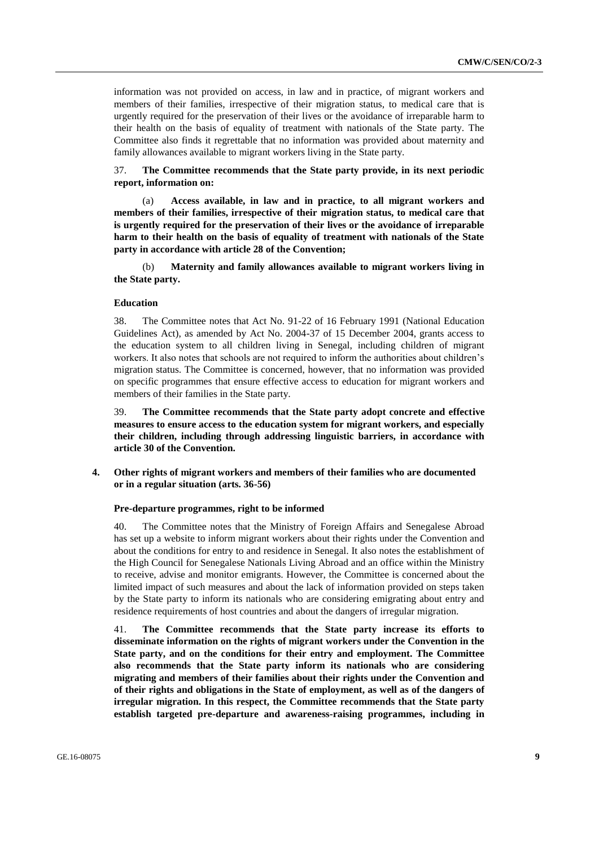information was not provided on access, in law and in practice, of migrant workers and members of their families, irrespective of their migration status, to medical care that is urgently required for the preservation of their lives or the avoidance of irreparable harm to their health on the basis of equality of treatment with nationals of the State party. The Committee also finds it regrettable that no information was provided about maternity and family allowances available to migrant workers living in the State party.

37. **The Committee recommends that the State party provide, in its next periodic report, information on:**

(a) **Access available, in law and in practice, to all migrant workers and members of their families, irrespective of their migration status, to medical care that is urgently required for the preservation of their lives or the avoidance of irreparable harm to their health on the basis of equality of treatment with nationals of the State party in accordance with article 28 of the Convention;**

(b) **Maternity and family allowances available to migrant workers living in the State party.**

## **Education**

38. The Committee notes that Act No. 91-22 of 16 February 1991 (National Education Guidelines Act), as amended by Act No. 2004-37 of 15 December 2004, grants access to the education system to all children living in Senegal, including children of migrant workers. It also notes that schools are not required to inform the authorities about children's migration status. The Committee is concerned, however, that no information was provided on specific programmes that ensure effective access to education for migrant workers and members of their families in the State party.

39. **The Committee recommends that the State party adopt concrete and effective measures to ensure access to the education system for migrant workers, and especially their children, including through addressing linguistic barriers, in accordance with article 30 of the Convention.**

**4. Other rights of migrant workers and members of their families who are documented or in a regular situation (arts. 36-56)**

#### **Pre-departure programmes, right to be informed**

40. The Committee notes that the Ministry of Foreign Affairs and Senegalese Abroad has set up a website to inform migrant workers about their rights under the Convention and about the conditions for entry to and residence in Senegal. It also notes the establishment of the High Council for Senegalese Nationals Living Abroad and an office within the Ministry to receive, advise and monitor emigrants. However, the Committee is concerned about the limited impact of such measures and about the lack of information provided on steps taken by the State party to inform its nationals who are considering emigrating about entry and residence requirements of host countries and about the dangers of irregular migration.

41. **The Committee recommends that the State party increase its efforts to disseminate information on the rights of migrant workers under the Convention in the State party, and on the conditions for their entry and employment. The Committee also recommends that the State party inform its nationals who are considering migrating and members of their families about their rights under the Convention and of their rights and obligations in the State of employment, as well as of the dangers of irregular migration. In this respect, the Committee recommends that the State party establish targeted pre-departure and awareness-raising programmes, including in**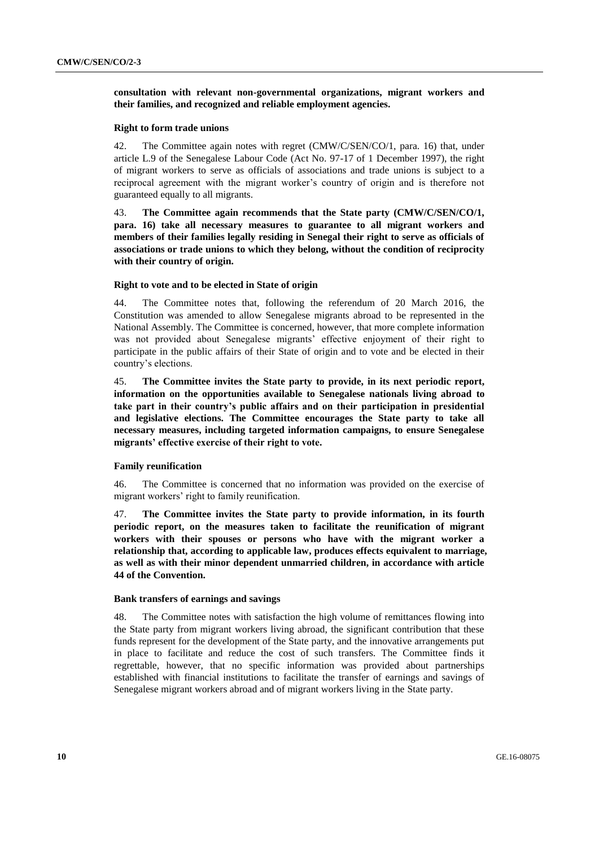**consultation with relevant non-governmental organizations, migrant workers and their families, and recognized and reliable employment agencies.**

#### **Right to form trade unions**

42. The Committee again notes with regret (CMW/C/SEN/CO/1, para. 16) that, under article L.9 of the Senegalese Labour Code (Act No. 97-17 of 1 December 1997), the right of migrant workers to serve as officials of associations and trade unions is subject to a reciprocal agreement with the migrant worker's country of origin and is therefore not guaranteed equally to all migrants.

43. **The Committee again recommends that the State party (CMW/C/SEN/CO/1, para. 16) take all necessary measures to guarantee to all migrant workers and members of their families legally residing in Senegal their right to serve as officials of associations or trade unions to which they belong, without the condition of reciprocity with their country of origin.**

### **Right to vote and to be elected in State of origin**

44. The Committee notes that, following the referendum of 20 March 2016, the Constitution was amended to allow Senegalese migrants abroad to be represented in the National Assembly. The Committee is concerned, however, that more complete information was not provided about Senegalese migrants' effective enjoyment of their right to participate in the public affairs of their State of origin and to vote and be elected in their country's elections.

45. **The Committee invites the State party to provide, in its next periodic report, information on the opportunities available to Senegalese nationals living abroad to take part in their country's public affairs and on their participation in presidential and legislative elections. The Committee encourages the State party to take all necessary measures, including targeted information campaigns, to ensure Senegalese migrants' effective exercise of their right to vote.** 

## **Family reunification**

46. The Committee is concerned that no information was provided on the exercise of migrant workers' right to family reunification.

47. **The Committee invites the State party to provide information, in its fourth periodic report, on the measures taken to facilitate the reunification of migrant workers with their spouses or persons who have with the migrant worker a relationship that, according to applicable law, produces effects equivalent to marriage, as well as with their minor dependent unmarried children, in accordance with article 44 of the Convention.** 

## **Bank transfers of earnings and savings**

48. The Committee notes with satisfaction the high volume of remittances flowing into the State party from migrant workers living abroad, the significant contribution that these funds represent for the development of the State party, and the innovative arrangements put in place to facilitate and reduce the cost of such transfers. The Committee finds it regrettable, however, that no specific information was provided about partnerships established with financial institutions to facilitate the transfer of earnings and savings of Senegalese migrant workers abroad and of migrant workers living in the State party.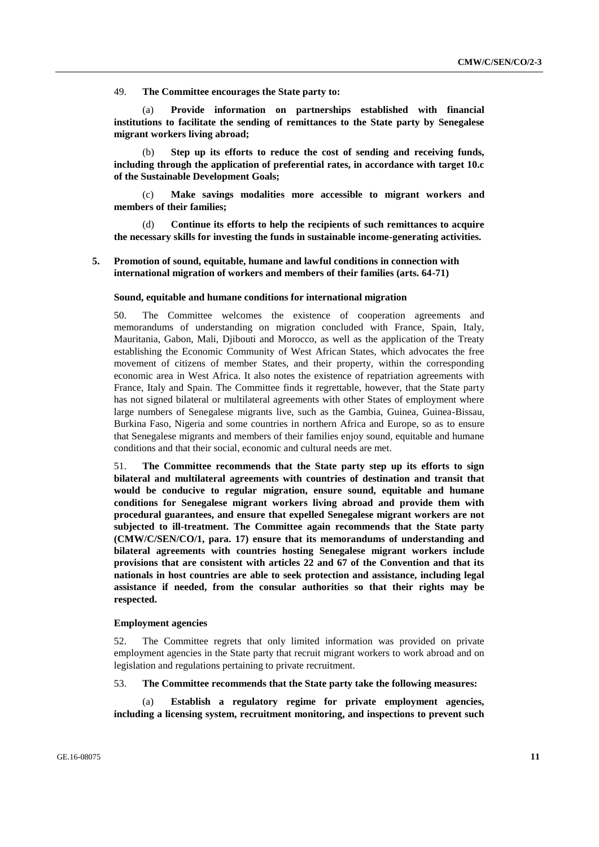49. **The Committee encourages the State party to:** 

(a) **Provide information on partnerships established with financial institutions to facilitate the sending of remittances to the State party by Senegalese migrant workers living abroad;** 

Step up its efforts to reduce the cost of sending and receiving funds, **including through the application of preferential rates, in accordance with target 10.c of the Sustainable Development Goals;**

(c) **Make savings modalities more accessible to migrant workers and members of their families;**

(d) **Continue its efforts to help the recipients of such remittances to acquire the necessary skills for investing the funds in sustainable income-generating activities.**

## **5. Promotion of sound, equitable, humane and lawful conditions in connection with international migration of workers and members of their families (arts. 64-71)**

#### **Sound, equitable and humane conditions for international migration**

50. The Committee welcomes the existence of cooperation agreements and memorandums of understanding on migration concluded with France, Spain, Italy, Mauritania, Gabon, Mali, Djibouti and Morocco, as well as the application of the Treaty establishing the Economic Community of West African States, which advocates the free movement of citizens of member States, and their property, within the corresponding economic area in West Africa. It also notes the existence of repatriation agreements with France, Italy and Spain. The Committee finds it regrettable, however, that the State party has not signed bilateral or multilateral agreements with other States of employment where large numbers of Senegalese migrants live, such as the Gambia, Guinea, Guinea-Bissau, Burkina Faso, Nigeria and some countries in northern Africa and Europe, so as to ensure that Senegalese migrants and members of their families enjoy sound, equitable and humane conditions and that their social, economic and cultural needs are met.

51. **The Committee recommends that the State party step up its efforts to sign bilateral and multilateral agreements with countries of destination and transit that would be conducive to regular migration, ensure sound, equitable and humane conditions for Senegalese migrant workers living abroad and provide them with procedural guarantees, and ensure that expelled Senegalese migrant workers are not subjected to ill-treatment. The Committee again recommends that the State party (CMW/C/SEN/CO/1, para. 17) ensure that its memorandums of understanding and bilateral agreements with countries hosting Senegalese migrant workers include provisions that are consistent with articles 22 and 67 of the Convention and that its nationals in host countries are able to seek protection and assistance, including legal assistance if needed, from the consular authorities so that their rights may be respected.**

## **Employment agencies**

52. The Committee regrets that only limited information was provided on private employment agencies in the State party that recruit migrant workers to work abroad and on legislation and regulations pertaining to private recruitment.

## 53. **The Committee recommends that the State party take the following measures:**

(a) **Establish a regulatory regime for private employment agencies, including a licensing system, recruitment monitoring, and inspections to prevent such**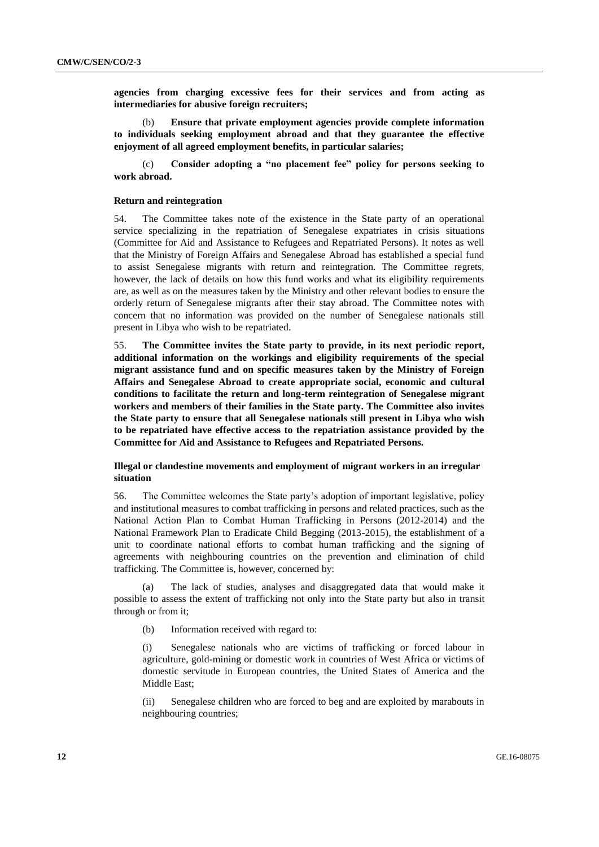**agencies from charging excessive fees for their services and from acting as intermediaries for abusive foreign recruiters;** 

(b) **Ensure that private employment agencies provide complete information to individuals seeking employment abroad and that they guarantee the effective enjoyment of all agreed employment benefits, in particular salaries;** 

(c) **Consider adopting a "no placement fee" policy for persons seeking to work abroad.**

### **Return and reintegration**

54. The Committee takes note of the existence in the State party of an operational service specializing in the repatriation of Senegalese expatriates in crisis situations (Committee for Aid and Assistance to Refugees and Repatriated Persons). It notes as well that the Ministry of Foreign Affairs and Senegalese Abroad has established a special fund to assist Senegalese migrants with return and reintegration. The Committee regrets, however, the lack of details on how this fund works and what its eligibility requirements are, as well as on the measures taken by the Ministry and other relevant bodies to ensure the orderly return of Senegalese migrants after their stay abroad. The Committee notes with concern that no information was provided on the number of Senegalese nationals still present in Libya who wish to be repatriated.

55. **The Committee invites the State party to provide, in its next periodic report, additional information on the workings and eligibility requirements of the special migrant assistance fund and on specific measures taken by the Ministry of Foreign Affairs and Senegalese Abroad to create appropriate social, economic and cultural conditions to facilitate the return and long-term reintegration of Senegalese migrant workers and members of their families in the State party. The Committee also invites the State party to ensure that all Senegalese nationals still present in Libya who wish to be repatriated have effective access to the repatriation assistance provided by the Committee for Aid and Assistance to Refugees and Repatriated Persons.**

## **Illegal or clandestine movements and employment of migrant workers in an irregular situation**

56. The Committee welcomes the State party's adoption of important legislative, policy and institutional measures to combat trafficking in persons and related practices, such as the National Action Plan to Combat Human Trafficking in Persons (2012-2014) and the National Framework Plan to Eradicate Child Begging (2013-2015), the establishment of a unit to coordinate national efforts to combat human trafficking and the signing of agreements with neighbouring countries on the prevention and elimination of child trafficking. The Committee is, however, concerned by:

(a) The lack of studies, analyses and disaggregated data that would make it possible to assess the extent of trafficking not only into the State party but also in transit through or from it;

(b) Information received with regard to:

(i) Senegalese nationals who are victims of trafficking or forced labour in agriculture, gold-mining or domestic work in countries of West Africa or victims of domestic servitude in European countries, the United States of America and the Middle East;

(ii) Senegalese children who are forced to beg and are exploited by marabouts in neighbouring countries;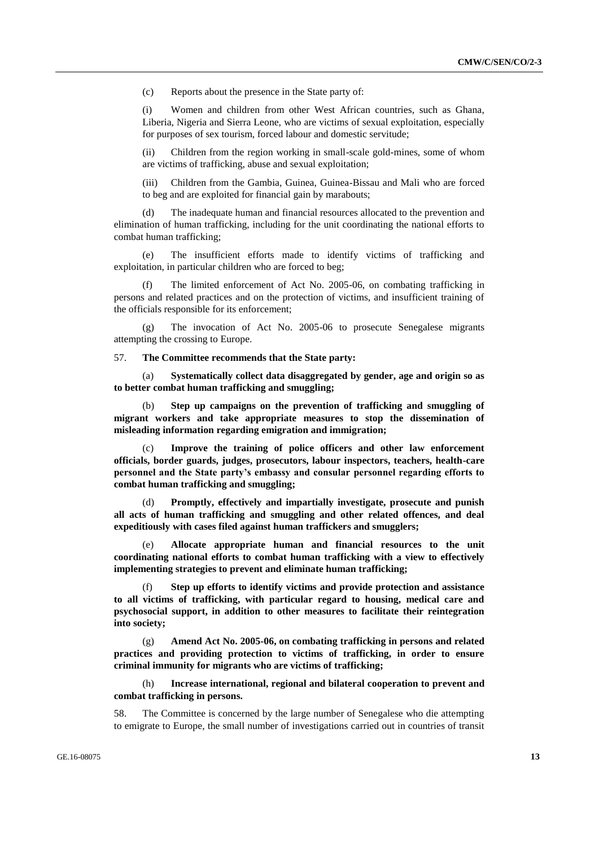(c) Reports about the presence in the State party of:

(i) Women and children from other West African countries, such as Ghana, Liberia, Nigeria and Sierra Leone, who are victims of sexual exploitation, especially for purposes of sex tourism, forced labour and domestic servitude;

(ii) Children from the region working in small-scale gold-mines, some of whom are victims of trafficking, abuse and sexual exploitation;

(iii) Children from the Gambia, Guinea, Guinea-Bissau and Mali who are forced to beg and are exploited for financial gain by marabouts;

(d) The inadequate human and financial resources allocated to the prevention and elimination of human trafficking, including for the unit coordinating the national efforts to combat human trafficking;

(e) The insufficient efforts made to identify victims of trafficking and exploitation, in particular children who are forced to beg;

The limited enforcement of Act No. 2005-06, on combating trafficking in persons and related practices and on the protection of victims, and insufficient training of the officials responsible for its enforcement;

(g) The invocation of Act No. 2005-06 to prosecute Senegalese migrants attempting the crossing to Europe.

57. **The Committee recommends that the State party:**

(a) **Systematically collect data disaggregated by gender, age and origin so as to better combat human trafficking and smuggling;**

(b) **Step up campaigns on the prevention of trafficking and smuggling of migrant workers and take appropriate measures to stop the dissemination of misleading information regarding emigration and immigration;**

Improve the training of police officers and other law enforcement **officials, border guards, judges, prosecutors, labour inspectors, teachers, health-care personnel and the State party's embassy and consular personnel regarding efforts to combat human trafficking and smuggling;**

(d) **Promptly, effectively and impartially investigate, prosecute and punish all acts of human trafficking and smuggling and other related offences, and deal expeditiously with cases filed against human traffickers and smugglers;**

(e) **Allocate appropriate human and financial resources to the unit coordinating national efforts to combat human trafficking with a view to effectively implementing strategies to prevent and eliminate human trafficking;**

(f) **Step up efforts to identify victims and provide protection and assistance to all victims of trafficking, with particular regard to housing, medical care and psychosocial support, in addition to other measures to facilitate their reintegration into society;** 

(g) **Amend Act No. 2005-06, on combating trafficking in persons and related practices and providing protection to victims of trafficking, in order to ensure criminal immunity for migrants who are victims of trafficking;**

(h) **Increase international, regional and bilateral cooperation to prevent and combat trafficking in persons.**

58. The Committee is concerned by the large number of Senegalese who die attempting to emigrate to Europe, the small number of investigations carried out in countries of transit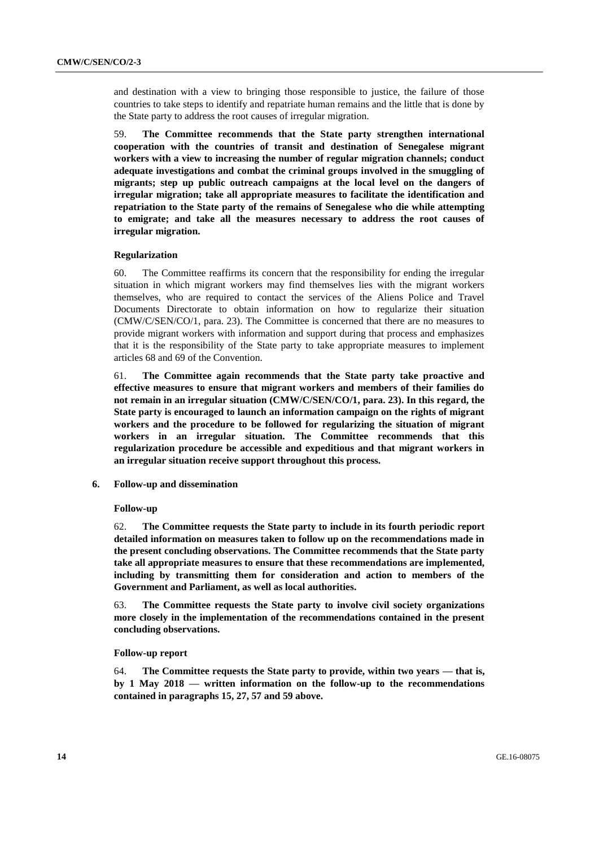and destination with a view to bringing those responsible to justice, the failure of those countries to take steps to identify and repatriate human remains and the little that is done by the State party to address the root causes of irregular migration.

59. **The Committee recommends that the State party strengthen international cooperation with the countries of transit and destination of Senegalese migrant workers with a view to increasing the number of regular migration channels; conduct adequate investigations and combat the criminal groups involved in the smuggling of migrants; step up public outreach campaigns at the local level on the dangers of irregular migration; take all appropriate measures to facilitate the identification and repatriation to the State party of the remains of Senegalese who die while attempting to emigrate; and take all the measures necessary to address the root causes of irregular migration.** 

## **Regularization**

60. The Committee reaffirms its concern that the responsibility for ending the irregular situation in which migrant workers may find themselves lies with the migrant workers themselves, who are required to contact the services of the Aliens Police and Travel Documents Directorate to obtain information on how to regularize their situation (CMW/C/SEN/CO/1, para. 23). The Committee is concerned that there are no measures to provide migrant workers with information and support during that process and emphasizes that it is the responsibility of the State party to take appropriate measures to implement articles 68 and 69 of the Convention.

61. **The Committee again recommends that the State party take proactive and effective measures to ensure that migrant workers and members of their families do not remain in an irregular situation (CMW/C/SEN/CO/1, para. 23). In this regard, the State party is encouraged to launch an information campaign on the rights of migrant workers and the procedure to be followed for regularizing the situation of migrant workers in an irregular situation. The Committee recommends that this regularization procedure be accessible and expeditious and that migrant workers in an irregular situation receive support throughout this process.**

## **6. Follow-up and dissemination**

#### **Follow-up**

62. **The Committee requests the State party to include in its fourth periodic report detailed information on measures taken to follow up on the recommendations made in the present concluding observations. The Committee recommends that the State party take all appropriate measures to ensure that these recommendations are implemented, including by transmitting them for consideration and action to members of the Government and Parliament, as well as local authorities.**

63. **The Committee requests the State party to involve civil society organizations more closely in the implementation of the recommendations contained in the present concluding observations.**

## **Follow-up report**

64. **The Committee requests the State party to provide, within two years — that is, by 1 May 2018 — written information on the follow-up to the recommendations contained in paragraphs 15, 27, 57 and 59 above.**